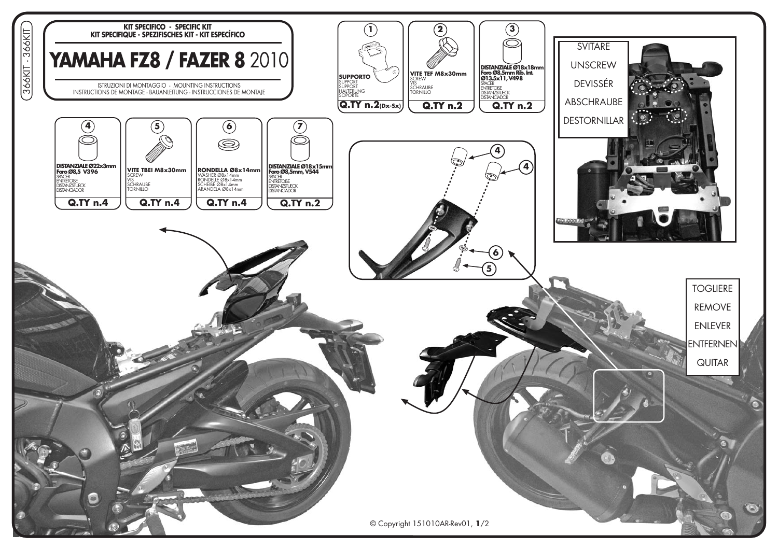